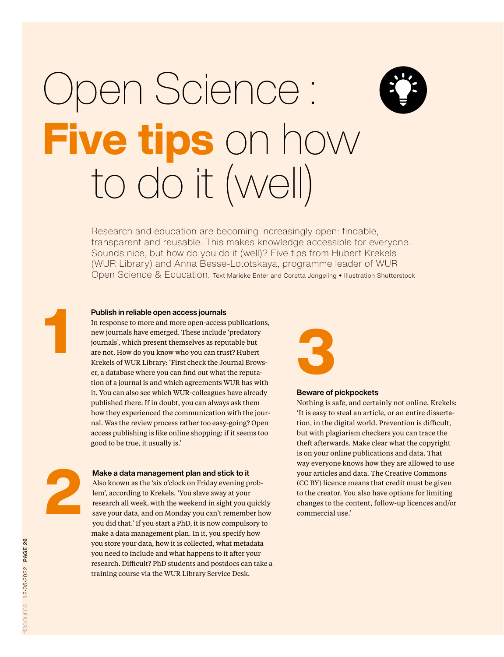## Open Science: Five tips on how to do it (well)

Research and education are becoming increasingly open: findable, transparent and reusable. This makes knowledge accessible for everyone. Sounds nice, but how do you do it (well)? Five tips from Hubert Krekels (WUR Library) and Anna Besse-Lototskaya, programme leader of WUR Open Science & Education. Text Marieke Enter and Coretta Jongeling • Illustration Shutterstock

### Publish in reliable open access journals

In response to more and more open-access publications, new journals have emerged. These include 'predatory journals', which present themselves as reputable but are not. How do you know who you can trust? Hubert Krekels of WUR Library: 'First check the Journal Browser, a database where you can find out what the reputation of a journal is and which agreements WUR has with it. You can also see which WUR-colleagues have already published there. If in doubt, you can always ask them how they experienced the communication with the journal. Was the review process rather too easy-going? Open access publishing is like online shopping: if it seems too good to be true, it usually is.'



## Beware of pickpockets

Nothing is safe, and certainly not online. Krekels: 'It is easy to steal an article, or an entire dissertation, in the digital world. Prevention is difficult, but with plagiarism checkers you can trace the theft afterwards. Make clear what the copyright is on your online publications and data. That way everyone knows how they are allowed to use your articles and data. The Creative Commons (CC BY) licence means that credit must be given to the creator. You also have options for limiting



1

### Make a data management plan and stick to it

Also known as the 'six o'clock on Friday evening problem', according to Krekels. 'You slave away at your research all week, with the weekend in sight you quickly save your data, and on Monday you can't remember how you did that.' If you start a PhD, it is now compulsory to make a data management plan. In it, you specify how you store your data, how it is collected, what metadata you need to include and what happens to it after your research. Difficult? PhD students and postdocs can take a training course via the WUR Library Service Desk. **Example 19 content in the content plan and stick to it** wour articles and data. The Creative Commons Also known as the 'six o'clock on Friday evening problem', according to Krekels. 'You slave away at your to the creator.